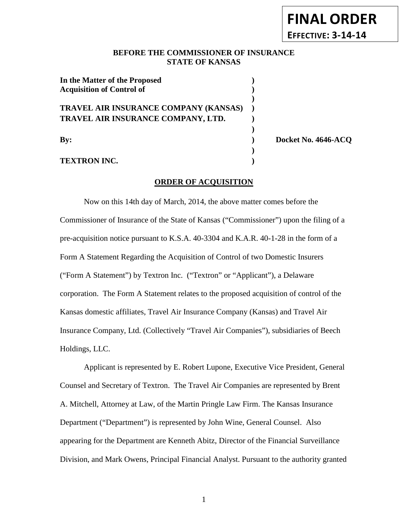## **BEFORE THE COMMISSIONER OF INSURANCE STATE OF KANSAS**

| In the Matter of the Proposed         |  |
|---------------------------------------|--|
| <b>Acquisition of Control of</b>      |  |
|                                       |  |
| TRAVEL AIR INSURANCE COMPANY (KANSAS) |  |
| TRAVEL AIR INSURANCE COMPANY, LTD.    |  |
|                                       |  |
| Bv:                                   |  |
|                                       |  |

**TEXTRON INC. )**

**By: ) Docket No. 4646-ACQ**

### **ORDER OF ACQUISITION**

Now on this 14th day of March, 2014, the above matter comes before the Commissioner of Insurance of the State of Kansas ("Commissioner") upon the filing of a pre-acquisition notice pursuant to K.S.A. 40-3304 and K.A.R. 40-1-28 in the form of a Form A Statement Regarding the Acquisition of Control of two Domestic Insurers ("Form A Statement") by Textron Inc. ("Textron" or "Applicant"), a Delaware corporation. The Form A Statement relates to the proposed acquisition of control of the Kansas domestic affiliates, Travel Air Insurance Company (Kansas) and Travel Air Insurance Company, Ltd. (Collectively "Travel Air Companies"), subsidiaries of Beech Holdings, LLC.

Applicant is represented by E. Robert Lupone, Executive Vice President, General Counsel and Secretary of Textron. The Travel Air Companies are represented by Brent A. Mitchell, Attorney at Law, of the Martin Pringle Law Firm. The Kansas Insurance Department ("Department") is represented by John Wine, General Counsel. Also appearing for the Department are Kenneth Abitz, Director of the Financial Surveillance Division, and Mark Owens, Principal Financial Analyst. Pursuant to the authority granted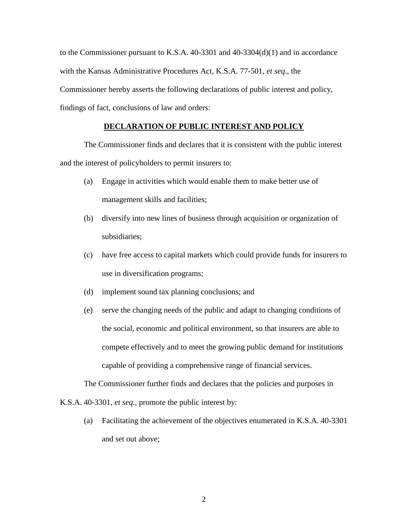to the Commissioner pursuant to K.S.A. 40-3301 and 40-3304(d)(1) and in accordance with the Kansas Administrative Procedures Act, K.S.A. 77-501, *et seq*., the Commissioner hereby asserts the following declarations of public interest and policy, findings of fact, conclusions of law and orders:

## **DECLARATION OF PUBLIC INTEREST AND POLICY**

The Commissioner finds and declares that it is consistent with the public interest and the interest of policyholders to permit insurers to:

- (a) Engage in activities which would enable them to make better use of management skills and facilities;
- (b) diversify into new lines of business through acquisition or organization of subsidiaries;
- (c) have free access to capital markets which could provide funds for insurers to use in diversification programs;
- (d) implement sound tax planning conclusions; and
- (e) serve the changing needs of the public and adapt to changing conditions of the social, economic and political environment, so that insurers are able to compete effectively and to meet the growing public demand for institutions capable of providing a comprehensive range of financial services.

The Commissioner further finds and declares that the policies and purposes in

K.S.A. 40-3301, *et seq*., promote the public interest by:

(a) Facilitating the achievement of the objectives enumerated in K.S.A. 40-3301 and set out above;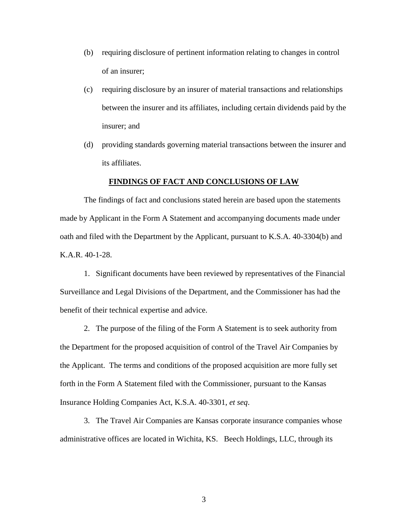- (b) requiring disclosure of pertinent information relating to changes in control of an insurer;
- (c) requiring disclosure by an insurer of material transactions and relationships between the insurer and its affiliates, including certain dividends paid by the insurer; and
- (d) providing standards governing material transactions between the insurer and its affiliates.

#### **FINDINGS OF FACT AND CONCLUSIONS OF LAW**

The findings of fact and conclusions stated herein are based upon the statements made by Applicant in the Form A Statement and accompanying documents made under oath and filed with the Department by the Applicant, pursuant to K.S.A. 40-3304(b) and K.A.R. 40-1-28.

1. Significant documents have been reviewed by representatives of the Financial Surveillance and Legal Divisions of the Department, and the Commissioner has had the benefit of their technical expertise and advice.

2. The purpose of the filing of the Form A Statement is to seek authority from the Department for the proposed acquisition of control of the Travel Air Companies by the Applicant. The terms and conditions of the proposed acquisition are more fully set forth in the Form A Statement filed with the Commissioner, pursuant to the Kansas Insurance Holding Companies Act, K.S.A. 40-3301, *et seq*.

3. The Travel Air Companies are Kansas corporate insurance companies whose administrative offices are located in Wichita, KS. Beech Holdings, LLC, through its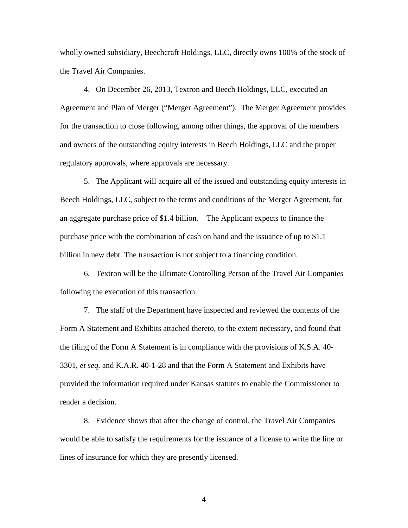wholly owned subsidiary, Beechcraft Holdings, LLC, directly owns 100% of the stock of the Travel Air Companies.

4. On December 26, 2013, Textron and Beech Holdings, LLC, executed an Agreement and Plan of Merger ("Merger Agreement"). The Merger Agreement provides for the transaction to close following, among other things, the approval of the members and owners of the outstanding equity interests in Beech Holdings, LLC and the proper regulatory approvals, where approvals are necessary.

5. The Applicant will acquire all of the issued and outstanding equity interests in Beech Holdings, LLC, subject to the terms and conditions of the Merger Agreement, for an aggregate purchase price of \$1.4 billion. The Applicant expects to finance the purchase price with the combination of cash on hand and the issuance of up to \$1.1 billion in new debt. The transaction is not subject to a financing condition.

6. Textron will be the Ultimate Controlling Person of the Travel Air Companies following the execution of this transaction.

7. The staff of the Department have inspected and reviewed the contents of the Form A Statement and Exhibits attached thereto, to the extent necessary, and found that the filing of the Form A Statement is in compliance with the provisions of K.S.A. 40- 3301, *et seq.* and K.A.R. 40-1-28 and that the Form A Statement and Exhibits have provided the information required under Kansas statutes to enable the Commissioner to render a decision.

8. Evidence shows that after the change of control, the Travel Air Companies would be able to satisfy the requirements for the issuance of a license to write the line or lines of insurance for which they are presently licensed.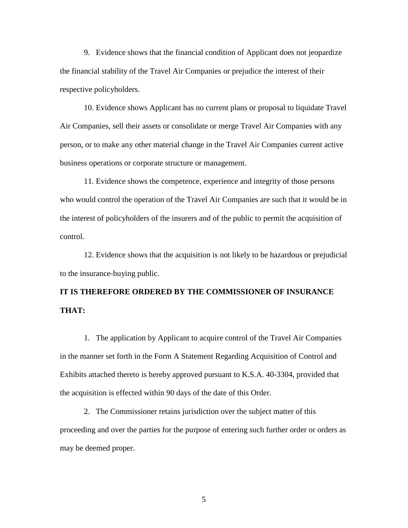9. Evidence shows that the financial condition of Applicant does not jeopardize the financial stability of the Travel Air Companies or prejudice the interest of their respective policyholders.

10. Evidence shows Applicant has no current plans or proposal to liquidate Travel Air Companies, sell their assets or consolidate or merge Travel Air Companies with any person, or to make any other material change in the Travel Air Companies current active business operations or corporate structure or management.

11. Evidence shows the competence, experience and integrity of those persons who would control the operation of the Travel Air Companies are such that it would be in the interest of policyholders of the insurers and of the public to permit the acquisition of control.

12. Evidence shows that the acquisition is not likely to be hazardous or prejudicial to the insurance-buying public.

# **IT IS THEREFORE ORDERED BY THE COMMISSIONER OF INSURANCE THAT:**

1. The application by Applicant to acquire control of the Travel Air Companies in the manner set forth in the Form A Statement Regarding Acquisition of Control and Exhibits attached thereto is hereby approved pursuant to K.S.A. 40-3304, provided that the acquisition is effected within 90 days of the date of this Order.

2. The Commissioner retains jurisdiction over the subject matter of this proceeding and over the parties for the purpose of entering such further order or orders as may be deemed proper.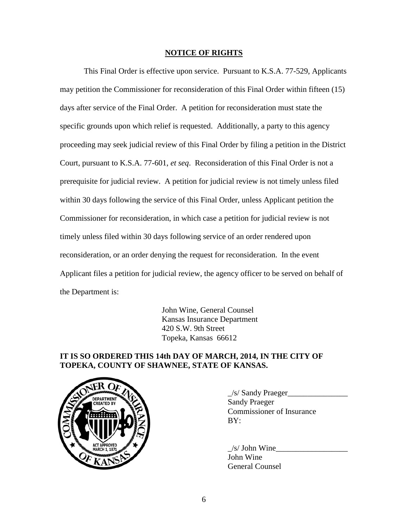### **NOTICE OF RIGHTS**

This Final Order is effective upon service. Pursuant to K.S.A. 77-529, Applicants may petition the Commissioner for reconsideration of this Final Order within fifteen (15) days after service of the Final Order. A petition for reconsideration must state the specific grounds upon which relief is requested. Additionally, a party to this agency proceeding may seek judicial review of this Final Order by filing a petition in the District Court, pursuant to K.S.A. 77-601, *et seq*. Reconsideration of this Final Order is not a prerequisite for judicial review. A petition for judicial review is not timely unless filed within 30 days following the service of this Final Order, unless Applicant petition the Commissioner for reconsideration, in which case a petition for judicial review is not timely unless filed within 30 days following service of an order rendered upon reconsideration, or an order denying the request for reconsideration. In the event Applicant files a petition for judicial review, the agency officer to be served on behalf of the Department is:

> John Wine, General Counsel Kansas Insurance Department 420 S.W. 9th Street Topeka, Kansas 66612

## **IT IS SO ORDERED THIS 14th DAY OF MARCH, 2014, IN THE CITY OF TOPEKA, COUNTY OF SHAWNEE, STATE OF KANSAS.**



 $\angle$ s/ Sandy Praeger $\angle$ Sandy Praeger Commissioner of Insurance  $BY:$ 

 $/s/$  John Wine John Wine General Counsel